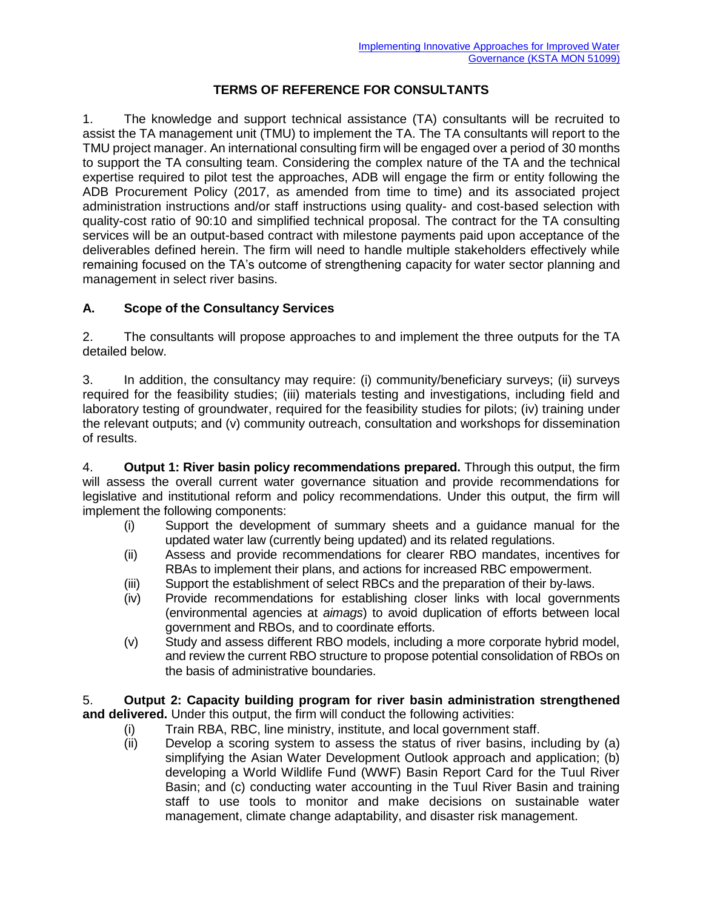## **TERMS OF REFERENCE FOR CONSULTANTS**

1. The knowledge and support technical assistance (TA) consultants will be recruited to assist the TA management unit (TMU) to implement the TA. The TA consultants will report to the TMU project manager. An international consulting firm will be engaged over a period of 30 months to support the TA consulting team. Considering the complex nature of the TA and the technical expertise required to pilot test the approaches, ADB will engage the firm or entity following the ADB Procurement Policy (2017, as amended from time to time) and its associated project administration instructions and/or staff instructions using quality- and cost-based selection with quality-cost ratio of 90:10 and simplified technical proposal. The contract for the TA consulting services will be an output-based contract with milestone payments paid upon acceptance of the deliverables defined herein. The firm will need to handle multiple stakeholders effectively while remaining focused on the TA's outcome of strengthening capacity for water sector planning and management in select river basins.

#### **A. Scope of the Consultancy Services**

2. The consultants will propose approaches to and implement the three outputs for the TA detailed below.

3. In addition, the consultancy may require: (i) community/beneficiary surveys; (ii) surveys required for the feasibility studies; (iii) materials testing and investigations, including field and laboratory testing of groundwater, required for the feasibility studies for pilots; (iv) training under the relevant outputs; and (v) community outreach, consultation and workshops for dissemination of results.

4. **Output 1: River basin policy recommendations prepared.** Through this output, the firm will assess the overall current water governance situation and provide recommendations for legislative and institutional reform and policy recommendations. Under this output, the firm will implement the following components:

- (i) Support the development of summary sheets and a guidance manual for the updated water law (currently being updated) and its related regulations.
- (ii) Assess and provide recommendations for clearer RBO mandates, incentives for RBAs to implement their plans, and actions for increased RBC empowerment.
- (iii) Support the establishment of select RBCs and the preparation of their by-laws.
- (iv) Provide recommendations for establishing closer links with local governments (environmental agencies at *aimags*) to avoid duplication of efforts between local government and RBOs, and to coordinate efforts.
- (v) Study and assess different RBO models, including a more corporate hybrid model, and review the current RBO structure to propose potential consolidation of RBOs on the basis of administrative boundaries.

#### 5. **Output 2: Capacity building program for river basin administration strengthened and delivered.** Under this output, the firm will conduct the following activities:

- (i) Train RBA, RBC, line ministry, institute, and local government staff.
- (ii) Develop a scoring system to assess the status of river basins, including by (a) simplifying the Asian Water Development Outlook approach and application; (b) developing a World Wildlife Fund (WWF) Basin Report Card for the Tuul River Basin; and (c) conducting water accounting in the Tuul River Basin and training staff to use tools to monitor and make decisions on sustainable water management, climate change adaptability, and disaster risk management.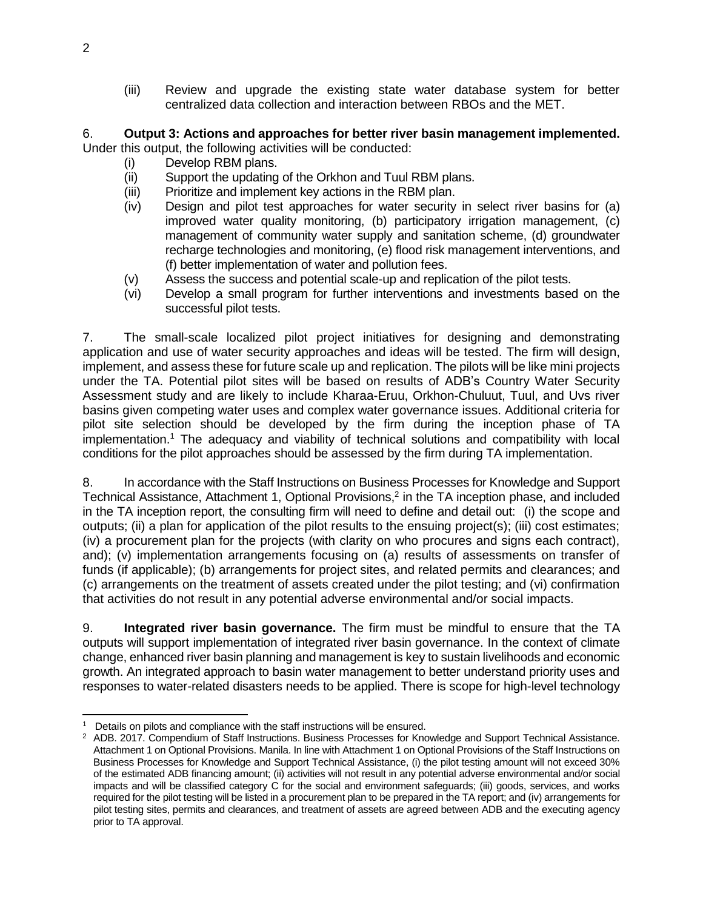(iii) Review and upgrade the existing state water database system for better centralized data collection and interaction between RBOs and the MET.

#### 6. **Output 3: Actions and approaches for better river basin management implemented.**

Under this output, the following activities will be conducted:

- (i) Develop RBM plans.
- (ii) Support the updating of the Orkhon and Tuul RBM plans.
- (iii) Prioritize and implement key actions in the RBM plan.
- (iv) Design and pilot test approaches for water security in select river basins for (a) improved water quality monitoring, (b) participatory irrigation management, (c) management of community water supply and sanitation scheme, (d) groundwater recharge technologies and monitoring, (e) flood risk management interventions, and (f) better implementation of water and pollution fees.
- (v) Assess the success and potential scale-up and replication of the pilot tests.
- (vi) Develop a small program for further interventions and investments based on the successful pilot tests.

7. The small-scale localized pilot project initiatives for designing and demonstrating application and use of water security approaches and ideas will be tested. The firm will design, implement, and assess these for future scale up and replication. The pilots will be like mini projects under the TA. Potential pilot sites will be based on results of ADB's Country Water Security Assessment study and are likely to include Kharaa-Eruu, Orkhon-Chuluut, Tuul, and Uvs river basins given competing water uses and complex water governance issues. Additional criteria for pilot site selection should be developed by the firm during the inception phase of TA implementation.<sup>1</sup> The adequacy and viability of technical solutions and compatibility with local conditions for the pilot approaches should be assessed by the firm during TA implementation.

8. In accordance with the Staff Instructions on Business Processes for Knowledge and Support Technical Assistance, Attachment 1, Optional Provisions, 2 in the TA inception phase, and included in the TA inception report, the consulting firm will need to define and detail out: (i) the scope and outputs; (ii) a plan for application of the pilot results to the ensuing project(s); (iii) cost estimates; (iv) a procurement plan for the projects (with clarity on who procures and signs each contract), and); (v) implementation arrangements focusing on (a) results of assessments on transfer of funds (if applicable); (b) arrangements for project sites, and related permits and clearances; and (c) arrangements on the treatment of assets created under the pilot testing; and (vi) confirmation that activities do not result in any potential adverse environmental and/or social impacts.

9. **Integrated river basin governance.** The firm must be mindful to ensure that the TA outputs will support implementation of integrated river basin governance. In the context of climate change, enhanced river basin planning and management is key to sustain livelihoods and economic growth. An integrated approach to basin water management to better understand priority uses and responses to water-related disasters needs to be applied. There is scope for high-level technology

 $\overline{a}$ <sup>1</sup> Details on pilots and compliance with the staff instructions will be ensured.

<sup>&</sup>lt;sup>2</sup> ADB. 2017. Compendium of Staff Instructions. Business Processes for Knowledge and Support Technical Assistance. Attachment 1 on Optional Provisions. Manila. In line with Attachment 1 on Optional Provisions of the Staff Instructions on Business Processes for Knowledge and Support Technical Assistance, (i) the pilot testing amount will not exceed 30% of the estimated ADB financing amount; (ii) activities will not result in any potential adverse environmental and/or social impacts and will be classified category C for the social and environment safeguards; (iii) goods, services, and works required for the pilot testing will be listed in a procurement plan to be prepared in the TA report; and (iv) arrangements for pilot testing sites, permits and clearances, and treatment of assets are agreed between ADB and the executing agency prior to TA approval.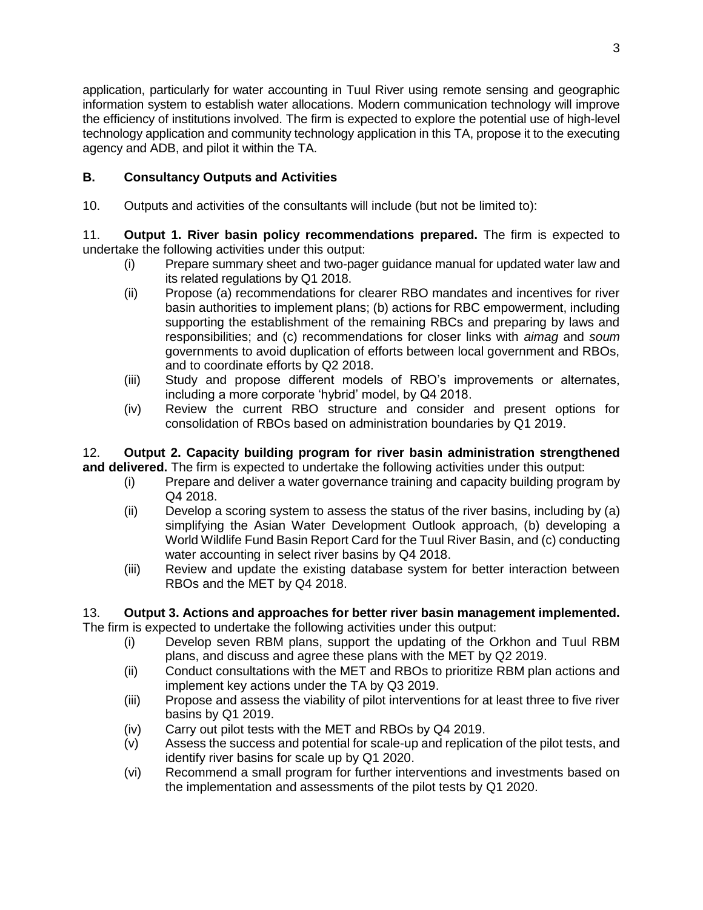application, particularly for water accounting in Tuul River using remote sensing and geographic information system to establish water allocations. Modern communication technology will improve the efficiency of institutions involved. The firm is expected to explore the potential use of high-level technology application and community technology application in this TA, propose it to the executing agency and ADB, and pilot it within the TA.

# **B. Consultancy Outputs and Activities**

10. Outputs and activities of the consultants will include (but not be limited to):

11. **Output 1. River basin policy recommendations prepared.** The firm is expected to undertake the following activities under this output:

- (i) Prepare summary sheet and two-pager guidance manual for updated water law and its related regulations by Q1 2018.
- (ii) Propose (a) recommendations for clearer RBO mandates and incentives for river basin authorities to implement plans; (b) actions for RBC empowerment, including supporting the establishment of the remaining RBCs and preparing by laws and responsibilities; and (c) recommendations for closer links with *aimag* and *soum* governments to avoid duplication of efforts between local government and RBOs, and to coordinate efforts by Q2 2018.
- (iii) Study and propose different models of RBO's improvements or alternates, including a more corporate 'hybrid' model, by Q4 2018.
- (iv) Review the current RBO structure and consider and present options for consolidation of RBOs based on administration boundaries by Q1 2019.

#### 12. **Output 2. Capacity building program for river basin administration strengthened and delivered.** The firm is expected to undertake the following activities under this output:

- (i) Prepare and deliver a water governance training and capacity building program by Q4 2018.
- (ii) Develop a scoring system to assess the status of the river basins, including by (a) simplifying the Asian Water Development Outlook approach, (b) developing a World Wildlife Fund Basin Report Card for the Tuul River Basin, and (c) conducting water accounting in select river basins by Q4 2018.
- (iii) Review and update the existing database system for better interaction between RBOs and the MET by Q4 2018.

# 13. **Output 3. Actions and approaches for better river basin management implemented.**

The firm is expected to undertake the following activities under this output:

- (i) Develop seven RBM plans, support the updating of the Orkhon and Tuul RBM plans, and discuss and agree these plans with the MET by Q2 2019.
- (ii) Conduct consultations with the MET and RBOs to prioritize RBM plan actions and implement key actions under the TA by Q3 2019.
- (iii) Propose and assess the viability of pilot interventions for at least three to five river basins by Q1 2019.
- (iv) Carry out pilot tests with the MET and RBOs by Q4 2019.
- (v) Assess the success and potential for scale-up and replication of the pilot tests, and identify river basins for scale up by Q1 2020.
- (vi) Recommend a small program for further interventions and investments based on the implementation and assessments of the pilot tests by Q1 2020.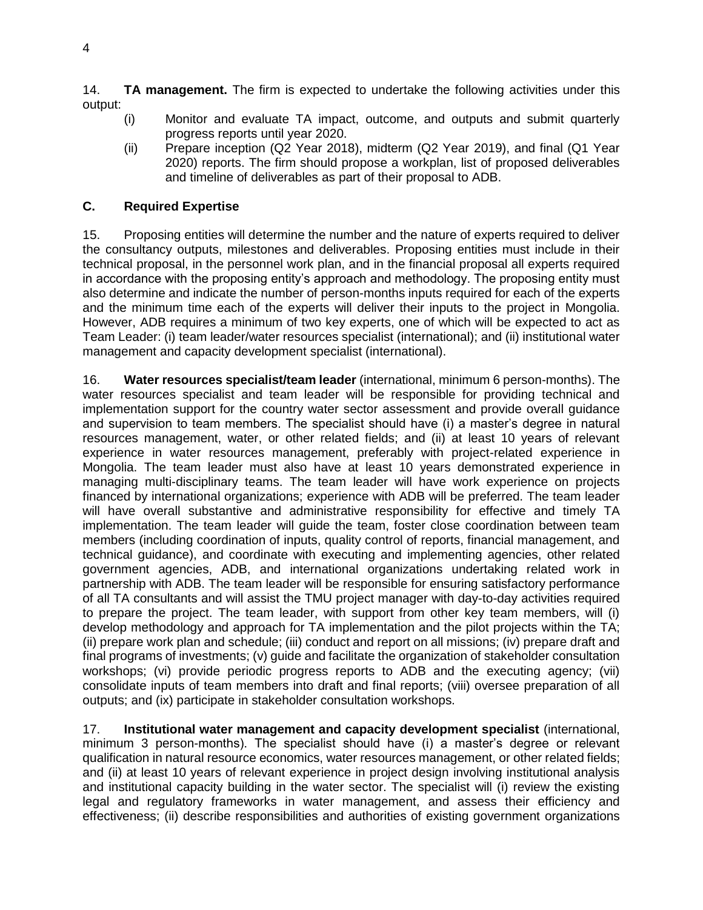14. **TA management.** The firm is expected to undertake the following activities under this output:

- (i) Monitor and evaluate TA impact, outcome, and outputs and submit quarterly progress reports until year 2020.
- (ii) Prepare inception (Q2 Year 2018), midterm (Q2 Year 2019), and final (Q1 Year 2020) reports. The firm should propose a workplan, list of proposed deliverables and timeline of deliverables as part of their proposal to ADB.

#### **C. Required Expertise**

15. Proposing entities will determine the number and the nature of experts required to deliver the consultancy outputs, milestones and deliverables. Proposing entities must include in their technical proposal, in the personnel work plan, and in the financial proposal all experts required in accordance with the proposing entity's approach and methodology. The proposing entity must also determine and indicate the number of person-months inputs required for each of the experts and the minimum time each of the experts will deliver their inputs to the project in Mongolia. However, ADB requires a minimum of two key experts, one of which will be expected to act as Team Leader: (i) team leader/water resources specialist (international); and (ii) institutional water management and capacity development specialist (international).

16. **Water resources specialist/team leader** (international, minimum 6 person-months). The water resources specialist and team leader will be responsible for providing technical and implementation support for the country water sector assessment and provide overall guidance and supervision to team members. The specialist should have (i) a master's degree in natural resources management, water, or other related fields; and (ii) at least 10 years of relevant experience in water resources management, preferably with project-related experience in Mongolia. The team leader must also have at least 10 years demonstrated experience in managing multi-disciplinary teams. The team leader will have work experience on projects financed by international organizations; experience with ADB will be preferred. The team leader will have overall substantive and administrative responsibility for effective and timely TA implementation. The team leader will guide the team, foster close coordination between team members (including coordination of inputs, quality control of reports, financial management, and technical guidance), and coordinate with executing and implementing agencies, other related government agencies, ADB, and international organizations undertaking related work in partnership with ADB. The team leader will be responsible for ensuring satisfactory performance of all TA consultants and will assist the TMU project manager with day-to-day activities required to prepare the project. The team leader, with support from other key team members, will (i) develop methodology and approach for TA implementation and the pilot projects within the TA; (ii) prepare work plan and schedule; (iii) conduct and report on all missions; (iv) prepare draft and final programs of investments; (v) guide and facilitate the organization of stakeholder consultation workshops; (vi) provide periodic progress reports to ADB and the executing agency; (vii) consolidate inputs of team members into draft and final reports; (viii) oversee preparation of all outputs; and (ix) participate in stakeholder consultation workshops.

17. **Institutional water management and capacity development specialist** (international, minimum 3 person-months). The specialist should have (i) a master's degree or relevant qualification in natural resource economics, water resources management, or other related fields; and (ii) at least 10 years of relevant experience in project design involving institutional analysis and institutional capacity building in the water sector. The specialist will (i) review the existing legal and regulatory frameworks in water management, and assess their efficiency and effectiveness; (ii) describe responsibilities and authorities of existing government organizations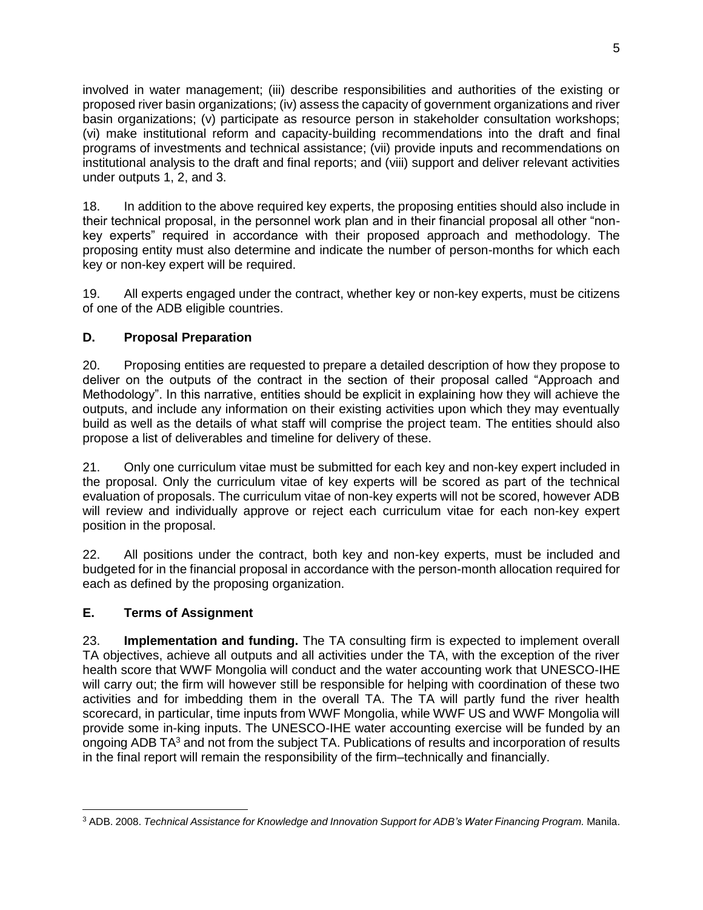involved in water management; (iii) describe responsibilities and authorities of the existing or proposed river basin organizations; (iv) assess the capacity of government organizations and river basin organizations; (v) participate as resource person in stakeholder consultation workshops; (vi) make institutional reform and capacity-building recommendations into the draft and final programs of investments and technical assistance; (vii) provide inputs and recommendations on institutional analysis to the draft and final reports; and (viii) support and deliver relevant activities under outputs 1, 2, and 3.

18. In addition to the above required key experts, the proposing entities should also include in their technical proposal, in the personnel work plan and in their financial proposal all other "nonkey experts" required in accordance with their proposed approach and methodology. The proposing entity must also determine and indicate the number of person-months for which each key or non-key expert will be required.

19. All experts engaged under the contract, whether key or non-key experts, must be citizens of one of the ADB eligible countries.

# **D. Proposal Preparation**

20. Proposing entities are requested to prepare a detailed description of how they propose to deliver on the outputs of the contract in the section of their proposal called "Approach and Methodology". In this narrative, entities should be explicit in explaining how they will achieve the outputs, and include any information on their existing activities upon which they may eventually build as well as the details of what staff will comprise the project team. The entities should also propose a list of deliverables and timeline for delivery of these.

21. Only one curriculum vitae must be submitted for each key and non-key expert included in the proposal. Only the curriculum vitae of key experts will be scored as part of the technical evaluation of proposals. The curriculum vitae of non-key experts will not be scored, however ADB will review and individually approve or reject each curriculum vitae for each non-key expert position in the proposal.

22. All positions under the contract, both key and non-key experts, must be included and budgeted for in the financial proposal in accordance with the person-month allocation required for each as defined by the proposing organization.

## **E. Terms of Assignment**

23. **Implementation and funding.** The TA consulting firm is expected to implement overall TA objectives, achieve all outputs and all activities under the TA, with the exception of the river health score that WWF Mongolia will conduct and the water accounting work that UNESCO-IHE will carry out; the firm will however still be responsible for helping with coordination of these two activities and for imbedding them in the overall TA. The TA will partly fund the river health scorecard, in particular, time inputs from WWF Mongolia, while WWF US and WWF Mongolia will provide some in-king inputs. The UNESCO-IHE water accounting exercise will be funded by an ongoing ADB TA<sup>3</sup> and not from the subject TA. Publications of results and incorporation of results in the final report will remain the responsibility of the firm–technically and financially.

 <sup>3</sup> ADB. 2008. *Technical Assistance for Knowledge and Innovation Support for ADB's Water Financing Program.* Manila.